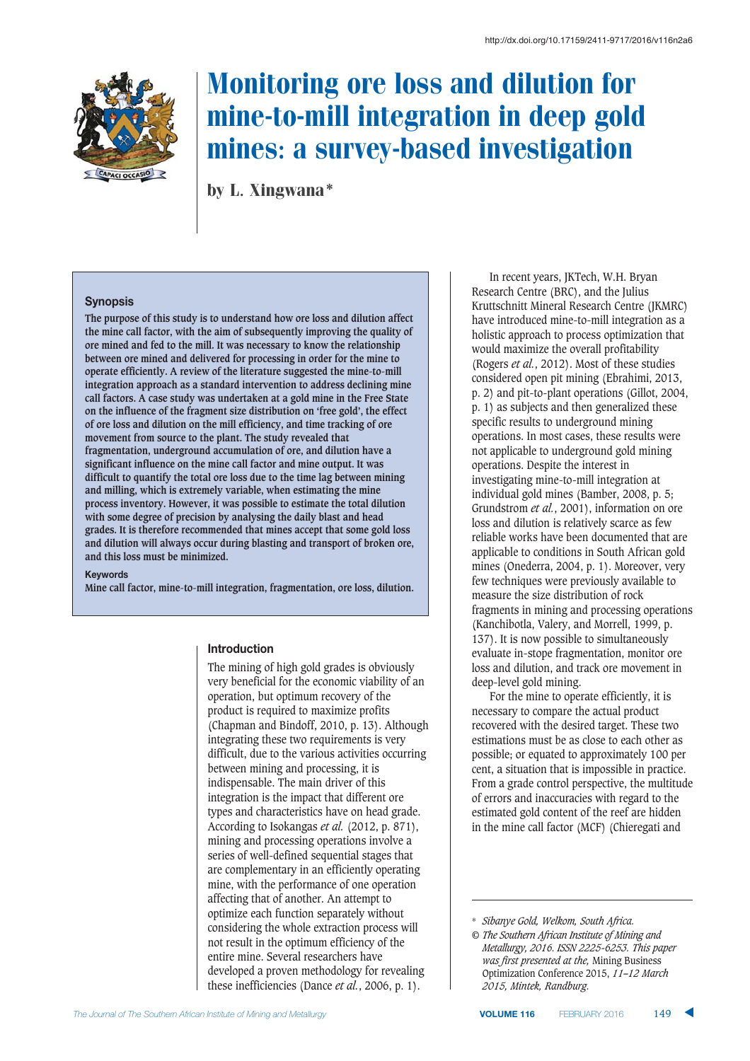

# Monitoring ore loss and dilution for mine-to-mill integration in deep gold mines: a survey-based investigation

by L. Xingwana\*

### ${\bf$  **Synopsis**

**The purpose of this study is to understand how ore loss and dilution affect the mine call factor, with the aim of subsequently improving the quality of ore mined and fed to the mill. It was necessary to know the relationship between ore mined and delivered for processing in order for the mine to operate efficiently. A review of the literature suggested the mine-to-mill integration approach as a standard intervention to address declining mine call factors. A case study was undertaken at a gold mine in the Free State on the influence of the fragment size distribution on 'free gold', the effect of ore loss and dilution on the mill efficiency, and time tracking of ore movement from source to the plant. The study revealed that fragmentation, underground accumulation of ore, and dilution have a significant influence on the mine call factor and mine output. It was difficult to quantify the total ore loss due to the time lag between mining and milling, which is extremely variable, when estimating the mine process inventory. However, it was possible to estimate the total dilution with some degree of precision by analysing the daily blast and head grades. It is therefore recommended that mines accept that some gold loss and dilution will always occur during blasting and transport of broken ore, and this loss must be minimized.**

### **Keywords**

**Mine call factor, mine-to-mill integration, fragmentation, ore loss, dilution.**

#### $\blacksquare$ **htroduction**

The mining of high gold grades is obviously very beneficial for the economic viability of an operation, but optimum recovery of the product is required to maximize profits (Chapman and Bindoff, 2010, p. 13). Although integrating these two requirements is very difficult, due to the various activities occurring between mining and processing, it is indispensable. The main driver of this integration is the impact that different ore types and characteristics have on head grade. According to Isokangas *et al.* (2012, p. 871), mining and processing operations involve a series of well-defined sequential stages that are complementary in an efficiently operating mine, with the performance of one operation affecting that of another. An attempt to optimize each function separately without considering the whole extraction process will not result in the optimum efficiency of the entire mine. Several researchers have developed a proven methodology for revealing these inefficiencies (Dance *et al.*, 2006, p. 1).

In recent years, JKTech, W.H. Bryan Research Centre (BRC), and the Julius Kruttschnitt Mineral Research Centre (JKMRC) have introduced mine-to-mill integration as a holistic approach to process optimization that would maximize the overall profitability (Rogers *et al.*, 2012). Most of these studies considered open pit mining (Ebrahimi, 2013, p. 2) and pit-to-plant operations (Gillot, 2004, p. 1) as subjects and then generalized these specific results to underground mining operations. In most cases, these results were not applicable to underground gold mining operations. Despite the interest in investigating mine-to-mill integration at individual gold mines (Bamber, 2008, p. 5; Grundstrom *et al.*, 2001), information on ore loss and dilution is relatively scarce as few reliable works have been documented that are applicable to conditions in South African gold mines (Onederra, 2004, p. 1). Moreover, very few techniques were previously available to measure the size distribution of rock fragments in mining and processing operations (Kanchibotla, Valery, and Morrell, 1999, p. 137). It is now possible to simultaneously evaluate in-stope fragmentation, monitor ore loss and dilution, and track ore movement in deep-level gold mining.

For the mine to operate efficiently, it is necessary to compare the actual product recovered with the desired target. These two estimations must be as close to each other as possible; or equated to approximately 100 per cent, a situation that is impossible in practice. From a grade control perspective, the multitude of errors and inaccuracies with regard to the estimated gold content of the reef are hidden in the mine call factor (MCF) (Chieregati and

<sup>\*</sup> *Sibanye Gold, Welkom, South Africa.*

*<sup>©</sup> The Southern African Institute of Mining and Metallurgy, 2016. ISSN 2225-6253. This paper was first presented at the,* Mining Business Optimization Conference 2015, *11–12 March 2015, Mintek, Randburg.*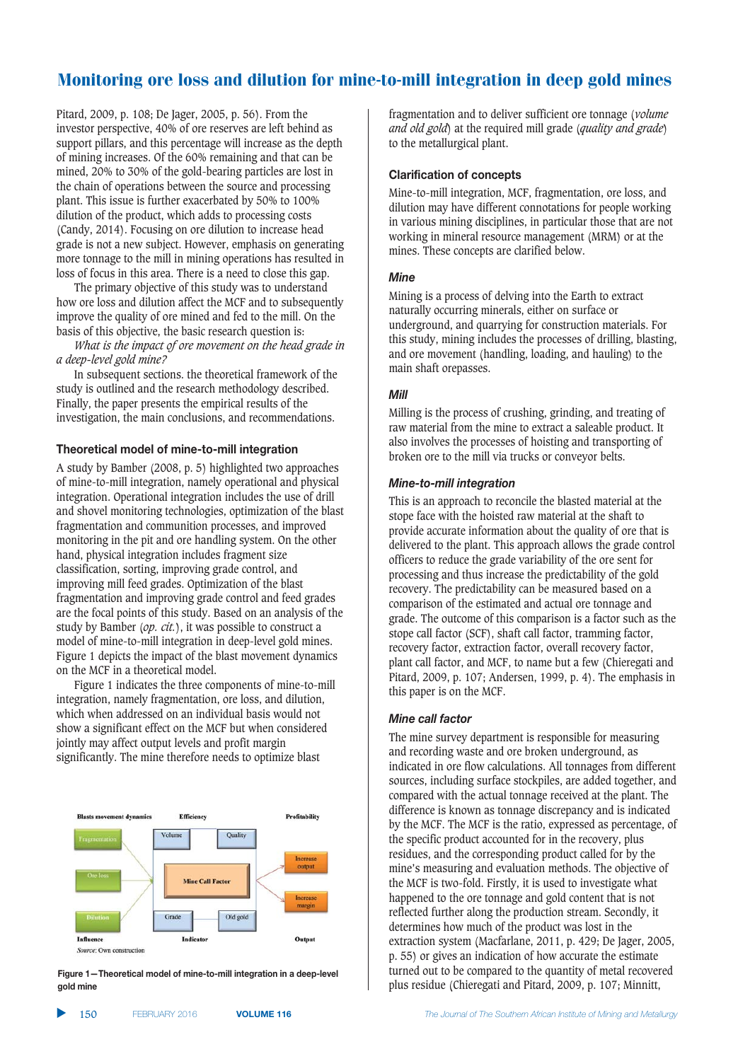Pitard, 2009, p. 108; De Jager, 2005, p. 56). From the investor perspective, 40% of ore reserves are left behind as support pillars, and this percentage will increase as the depth of mining increases. Of the 60% remaining and that can be mined, 20% to 30% of the gold-bearing particles are lost in the chain of operations between the source and processing plant. This issue is further exacerbated by 50% to 100% dilution of the product, which adds to processing costs (Candy, 2014). Focusing on ore dilution to increase head grade is not a new subject. However, emphasis on generating more tonnage to the mill in mining operations has resulted in loss of focus in this area. There is a need to close this gap.

The primary objective of this study was to understand how ore loss and dilution affect the MCF and to subsequently improve the quality of ore mined and fed to the mill. On the basis of this objective, the basic research question is:

*What is the impact of ore movement on the head grade in a deep-level gold mine?*

In subsequent sections. the theoretical framework of the study is outlined and the research methodology described. Finally, the paper presents the empirical results of the investigation, the main conclusions, and recommendations.

# **117heoretical model of mine-to-mill integration**

A study by Bamber (2008, p. 5) highlighted two approaches of mine-to-mill integration, namely operational and physical integration. Operational integration includes the use of drill and shovel monitoring technologies, optimization of the blast fragmentation and communition processes, and improved monitoring in the pit and ore handling system. On the other hand, physical integration includes fragment size classification, sorting, improving grade control, and improving mill feed grades. Optimization of the blast fragmentation and improving grade control and feed grades are the focal points of this study. Based on an analysis of the study by Bamber (*op. cit.*), it was possible to construct a model of mine-to-mill integration in deep-level gold mines. Figure 1 depicts the impact of the blast movement dynamics on the MCF in a theoretical model.

Figure 1 indicates the three components of mine-to-mill integration, namely fragmentation, ore loss, and dilution, which when addressed on an individual basis would not show a significant effect on the MCF but when considered jointly may affect output levels and profit margin significantly. The mine therefore needs to optimize blast



Figure 1-Theoretical model of mine-to-mill integration in a deep-level  $\frac{1}{2}$ *gold* mine

fragmentation and to deliver sufficient ore tonnage (*volume and old gold*) at the required mill grade (*quality and grade*) to the metallurgical plant.

# $k$ **Clarification of concepts**

Mine-to-mill integration, MCF, fragmentation, ore loss, and dilution may have different connotations for people working in various mining disciplines, in particular those that are not working in mineral resource management (MRM) or at the mines. These concepts are clarified below.

# **Mine**

Mining is a process of delving into the Earth to extract naturally occurring minerals, either on surface or underground, and quarrying for construction materials. For this study, mining includes the processes of drilling, blasting, and ore movement (handling, loading, and hauling) to the main shaft orepasses.

# Mill

Milling is the process of crushing, grinding, and treating of raw material from the mine to extract a saleable product. It also involves the processes of hoisting and transporting of broken ore to the mill via trucks or conveyor belts.

# **Mine-to-mill integration**

This is an approach to reconcile the blasted material at the stope face with the hoisted raw material at the shaft to provide accurate information about the quality of ore that is delivered to the plant. This approach allows the grade control officers to reduce the grade variability of the ore sent for processing and thus increase the predictability of the gold recovery. The predictability can be measured based on a comparison of the estimated and actual ore tonnage and grade. The outcome of this comparison is a factor such as the stope call factor (SCF), shaft call factor, tramming factor, recovery factor, extraction factor, overall recovery factor, plant call factor, and MCF, to name but a few (Chieregati and Pitard, 2009, p. 107; Andersen, 1999, p. 4). The emphasis in this paper is on the MCF.

# 

The mine survey department is responsible for measuring and recording waste and ore broken underground, as indicated in ore flow calculations. All tonnages from different sources, including surface stockpiles, are added together, and compared with the actual tonnage received at the plant. The difference is known as tonnage discrepancy and is indicated by the MCF. The MCF is the ratio, expressed as percentage, of the specific product accounted for in the recovery, plus residues, and the corresponding product called for by the mine's measuring and evaluation methods. The objective of the MCF is two-fold. Firstly, it is used to investigate what happened to the ore tonnage and gold content that is not reflected further along the production stream. Secondly, it determines how much of the product was lost in the extraction system (Macfarlane, 2011, p. 429; De Jager, 2005, p. 55) or gives an indication of how accurate the estimate turned out to be compared to the quantity of metal recovered plus residue (Chieregati and Pitard, 2009, p. 107; Minnitt,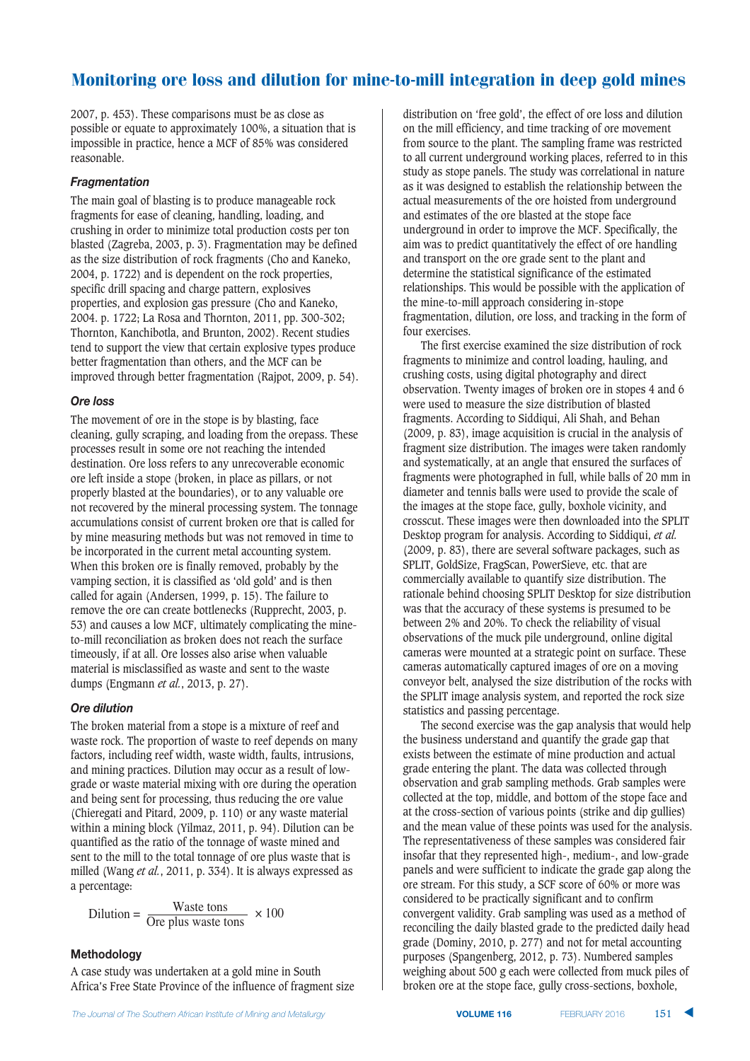2007, p. 453). These comparisons must be as close as possible or equate to approximately 100%, a situation that is impossible in practice, hence a MCF of 85% was considered reasonable.

# **Fragmentation**

The main goal of blasting is to produce manageable rock fragments for ease of cleaning, handling, loading, and crushing in order to minimize total production costs per ton blasted (Zagreba, 2003, p. 3). Fragmentation may be defined as the size distribution of rock fragments (Cho and Kaneko, 2004, p. 1722) and is dependent on the rock properties, specific drill spacing and charge pattern, explosives properties, and explosion gas pressure (Cho and Kaneko, 2004. p. 1722; La Rosa and Thornton, 2011, pp. 300-302; Thornton, Kanchibotla, and Brunton, 2002). Recent studies tend to support the view that certain explosive types produce better fragmentation than others, and the MCF can be improved through better fragmentation (Rajpot, 2009, p. 54).

# **Ore loss**

The movement of ore in the stope is by blasting, face cleaning, gully scraping, and loading from the orepass. These processes result in some ore not reaching the intended destination. Ore loss refers to any unrecoverable economic ore left inside a stope (broken, in place as pillars, or not properly blasted at the boundaries), or to any valuable ore not recovered by the mineral processing system. The tonnage accumulations consist of current broken ore that is called for by mine measuring methods but was not removed in time to be incorporated in the current metal accounting system. When this broken ore is finally removed, probably by the vamping section, it is classified as 'old gold' and is then called for again (Andersen, 1999, p. 15). The failure to remove the ore can create bottlenecks (Rupprecht, 2003, p. 53) and causes a low MCF, ultimately complicating the mineto-mill reconciliation as broken does not reach the surface timeously, if at all. Ore losses also arise when valuable material is misclassified as waste and sent to the waste dumps (Engmann *et al.*, 2013, p. 27).

# **Ore dilution**

The broken material from a stope is a mixture of reef and waste rock. The proportion of waste to reef depends on many factors, including reef width, waste width, faults, intrusions, and mining practices. Dilution may occur as a result of lowgrade or waste material mixing with ore during the operation and being sent for processing, thus reducing the ore value (Chieregati and Pitard, 2009, p. 110) or any waste material within a mining block (Yilmaz, 2011, p. 94). Dilution can be quantified as the ratio of the tonnage of waste mined and sent to the mill to the total tonnage of ore plus waste that is milled (Wang *et al.*, 2011, p. 334). It is always expressed as a percentage:

Dilution =  $\frac{\text{Waste tons}}{\text{Ore plus waste tons}} \times 100$ 

# **1Methodology**

A case study was undertaken at a gold mine in South Africa's Free State Province of the influence of fragment size distribution on 'free gold', the effect of ore loss and dilution on the mill efficiency, and time tracking of ore movement from source to the plant. The sampling frame was restricted to all current underground working places, referred to in this study as stope panels. The study was correlational in nature as it was designed to establish the relationship between the actual measurements of the ore hoisted from underground and estimates of the ore blasted at the stope face underground in order to improve the MCF. Specifically, the aim was to predict quantitatively the effect of ore handling and transport on the ore grade sent to the plant and determine the statistical significance of the estimated relationships. This would be possible with the application of the mine-to-mill approach considering in-stope fragmentation, dilution, ore loss, and tracking in the form of four exercises.

The first exercise examined the size distribution of rock fragments to minimize and control loading, hauling, and crushing costs, using digital photography and direct observation. Twenty images of broken ore in stopes 4 and 6 were used to measure the size distribution of blasted fragments. According to Siddiqui, Ali Shah, and Behan (2009, p. 83), image acquisition is crucial in the analysis of fragment size distribution. The images were taken randomly and systematically, at an angle that ensured the surfaces of fragments were photographed in full, while balls of 20 mm in diameter and tennis balls were used to provide the scale of the images at the stope face, gully, boxhole vicinity, and crosscut. These images were then downloaded into the SPLIT Desktop program for analysis. According to Siddiqui, *et al.* (2009, p. 83), there are several software packages, such as SPLIT, GoldSize, FragScan, PowerSieve, etc. that are commercially available to quantify size distribution. The rationale behind choosing SPLIT Desktop for size distribution was that the accuracy of these systems is presumed to be between 2% and 20%. To check the reliability of visual observations of the muck pile underground, online digital cameras were mounted at a strategic point on surface. These cameras automatically captured images of ore on a moving conveyor belt, analysed the size distribution of the rocks with the SPLIT image analysis system, and reported the rock size statistics and passing percentage.

The second exercise was the gap analysis that would help the business understand and quantify the grade gap that exists between the estimate of mine production and actual grade entering the plant. The data was collected through observation and grab sampling methods. Grab samples were collected at the top, middle, and bottom of the stope face and at the cross-section of various points (strike and dip gullies) and the mean value of these points was used for the analysis. The representativeness of these samples was considered fair insofar that they represented high-, medium-, and low-grade panels and were sufficient to indicate the grade gap along the ore stream. For this study, a SCF score of 60% or more was considered to be practically significant and to confirm convergent validity. Grab sampling was used as a method of reconciling the daily blasted grade to the predicted daily head grade (Dominy, 2010, p. 277) and not for metal accounting purposes (Spangenberg, 2012, p. 73). Numbered samples weighing about 500 g each were collected from muck piles of broken ore at the stope face, gully cross-sections, boxhole,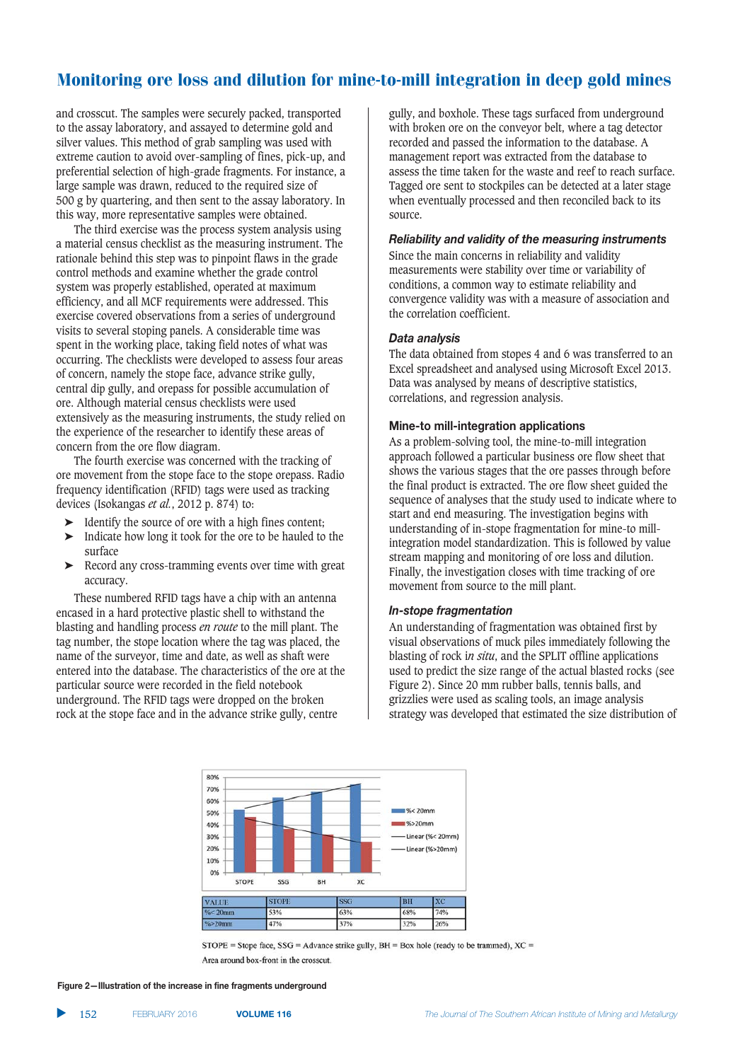and crosscut. The samples were securely packed, transported to the assay laboratory, and assayed to determine gold and silver values. This method of grab sampling was used with extreme caution to avoid over-sampling of fines, pick-up, and preferential selection of high-grade fragments. For instance, a large sample was drawn, reduced to the required size of 500 g by quartering, and then sent to the assay laboratory. In this way, more representative samples were obtained.

The third exercise was the process system analysis using a material census checklist as the measuring instrument. The rationale behind this step was to pinpoint flaws in the grade control methods and examine whether the grade control system was properly established, operated at maximum efficiency, and all MCF requirements were addressed. This exercise covered observations from a series of underground visits to several stoping panels. A considerable time was spent in the working place, taking field notes of what was occurring. The checklists were developed to assess four areas of concern, namely the stope face, advance strike gully, central dip gully, and orepass for possible accumulation of ore. Although material census checklists were used extensively as the measuring instruments, the study relied on the experience of the researcher to identify these areas of concern from the ore flow diagram.

The fourth exercise was concerned with the tracking of ore movement from the stope face to the stope orepass. Radio frequency identification (RFID) tags were used as tracking devices (Isokangas *et al.*, 2012 p. 874) to:

- Identify the source of ore with a high fines content;
- ➤ Indicate how long it took for the ore to be hauled to the surface
- ➤ Record any cross-tramming events over time with great accuracy.

These numbered RFID tags have a chip with an antenna encased in a hard protective plastic shell to withstand the blasting and handling process *en route* to the mill plant. The tag number, the stope location where the tag was placed, the name of the surveyor, time and date, as well as shaft were entered into the database. The characteristics of the ore at the particular source were recorded in the field notebook underground. The RFID tags were dropped on the broken rock at the stope face and in the advance strike gully, centre

gully, and boxhole. These tags surfaced from underground with broken ore on the conveyor belt, where a tag detector recorded and passed the information to the database. A management report was extracted from the database to assess the time taken for the waste and reef to reach surface. Tagged ore sent to stockpiles can be detected at a later stage when eventually processed and then reconciled back to its source.

# **Reliability and validity of the measuring instruments**

Since the main concerns in reliability and validity measurements were stability over time or variability of conditions, a common way to estimate reliability and convergence validity was with a measure of association and the correlation coefficient.

#### Data analysis

The data obtained from stopes 4 and 6 was transferred to an Excel spreadsheet and analysed using Microsoft Excel 2013. Data was analysed by means of descriptive statistics, correlations, and regression analysis.

#### **Mine-to mill-integration applications**

As a problem-solving tool, the mine-to-mill integration approach followed a particular business ore flow sheet that shows the various stages that the ore passes through before the final product is extracted. The ore flow sheet guided the sequence of analyses that the study used to indicate where to start and end measuring. The investigation begins with understanding of in-stope fragmentation for mine-to millintegration model standardization. This is followed by value stream mapping and monitoring of ore loss and dilution. Finally, the investigation closes with time tracking of ore movement from source to the mill plant.

### In-stope fragmentation

An understanding of fragmentation was obtained first by visual observations of muck piles immediately following the blasting of rock i*n situ*, and the SPLIT offline applications used to predict the size range of the actual blasted rocks (see Figure 2). Since 20 mm rubber balls, tennis balls, and grizzlies were used as scaling tools, an image analysis strategy was developed that estimated the size distribution of





Figure 2-Illustration of the increase in fine fragments underground

152 FEBRUARY 201 **VOLUME 116**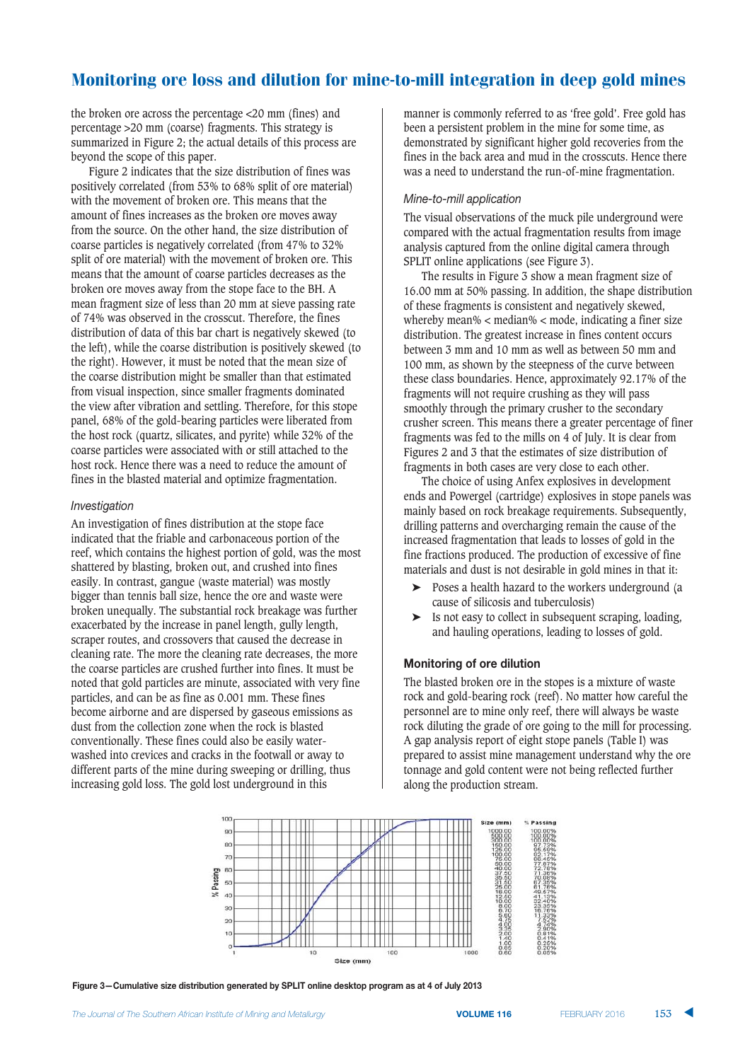the broken ore across the percentage <20 mm (fines) and percentage >20 mm (coarse) fragments. This strategy is summarized in Figure 2; the actual details of this process are beyond the scope of this paper.

Figure 2 indicates that the size distribution of fines was positively correlated (from 53% to 68% split of ore material) with the movement of broken ore. This means that the amount of fines increases as the broken ore moves away from the source. On the other hand, the size distribution of coarse particles is negatively correlated (from 47% to 32% split of ore material) with the movement of broken ore. This means that the amount of coarse particles decreases as the broken ore moves away from the stope face to the BH. A mean fragment size of less than 20 mm at sieve passing rate of 74% was observed in the crosscut. Therefore, the fines distribution of data of this bar chart is negatively skewed (to the left), while the coarse distribution is positively skewed (to the right). However, it must be noted that the mean size of the coarse distribution might be smaller than that estimated from visual inspection, since smaller fragments dominated the view after vibration and settling. Therefore, for this stope panel, 68% of the gold-bearing particles were liberated from the host rock (quartz, silicates, and pyrite) while 32% of the coarse particles were associated with or still attached to the host rock. Hence there was a need to reduce the amount of fines in the blasted material and optimize fragmentation.

### *Investigation*

An investigation of fines distribution at the stope face indicated that the friable and carbonaceous portion of the reef, which contains the highest portion of gold, was the most shattered by blasting, broken out, and crushed into fines easily. In contrast, gangue (waste material) was mostly bigger than tennis ball size, hence the ore and waste were broken unequally. The substantial rock breakage was further exacerbated by the increase in panel length, gully length, scraper routes, and crossovers that caused the decrease in cleaning rate. The more the cleaning rate decreases, the more the coarse particles are crushed further into fines. It must be noted that gold particles are minute, associated with very fine particles, and can be as fine as 0.001 mm. These fines become airborne and are dispersed by gaseous emissions as dust from the collection zone when the rock is blasted conventionally. These fines could also be easily waterwashed into crevices and cracks in the footwall or away to different parts of the mine during sweeping or drilling, thus increasing gold loss. The gold lost underground in this

manner is commonly referred to as 'free gold'. Free gold has been a persistent problem in the mine for some time, as demonstrated by significant higher gold recoveries from the fines in the back area and mud in the crosscuts. Hence there was a need to understand the run-of-mine fragmentation.

# *Mine-to-mill application*

The visual observations of the muck pile underground were compared with the actual fragmentation results from image analysis captured from the online digital camera through SPLIT online applications (see Figure 3).

The results in Figure 3 show a mean fragment size of 16.00 mm at 50% passing. In addition, the shape distribution of these fragments is consistent and negatively skewed, whereby mean% < median% < mode, indicating a finer size distribution. The greatest increase in fines content occurs between 3 mm and 10 mm as well as between 50 mm and 100 mm, as shown by the steepness of the curve between these class boundaries. Hence, approximately 92.17% of the fragments will not require crushing as they will pass smoothly through the primary crusher to the secondary crusher screen. This means there a greater percentage of finer fragments was fed to the mills on 4 of July. It is clear from Figures 2 and 3 that the estimates of size distribution of fragments in both cases are very close to each other.

The choice of using Anfex explosives in development ends and Powergel (cartridge) explosives in stope panels was mainly based on rock breakage requirements. Subsequently, drilling patterns and overcharging remain the cause of the increased fragmentation that leads to losses of gold in the fine fractions produced. The production of excessive of fine materials and dust is not desirable in gold mines in that it:

- ➤ Poses a health hazard to the workers underground (a cause of silicosis and tuberculosis)
- ➤ Is not easy to collect in subsequent scraping, loading, and hauling operations, leading to losses of gold.

# *Monitoring of ore dilution*

The blasted broken ore in the stopes is a mixture of waste rock and gold-bearing rock (reef). No matter how careful the personnel are to mine only reef, there will always be waste rock diluting the grade of ore going to the mill for processing. A gap analysis report of eight stope panels (Table I) was prepared to assist mine management understand why the ore tonnage and gold content were not being reflected further along the production stream.



Figure 3―Cumulative size distribution generated by SPLIT online desktop program as at 4 of July 2013

153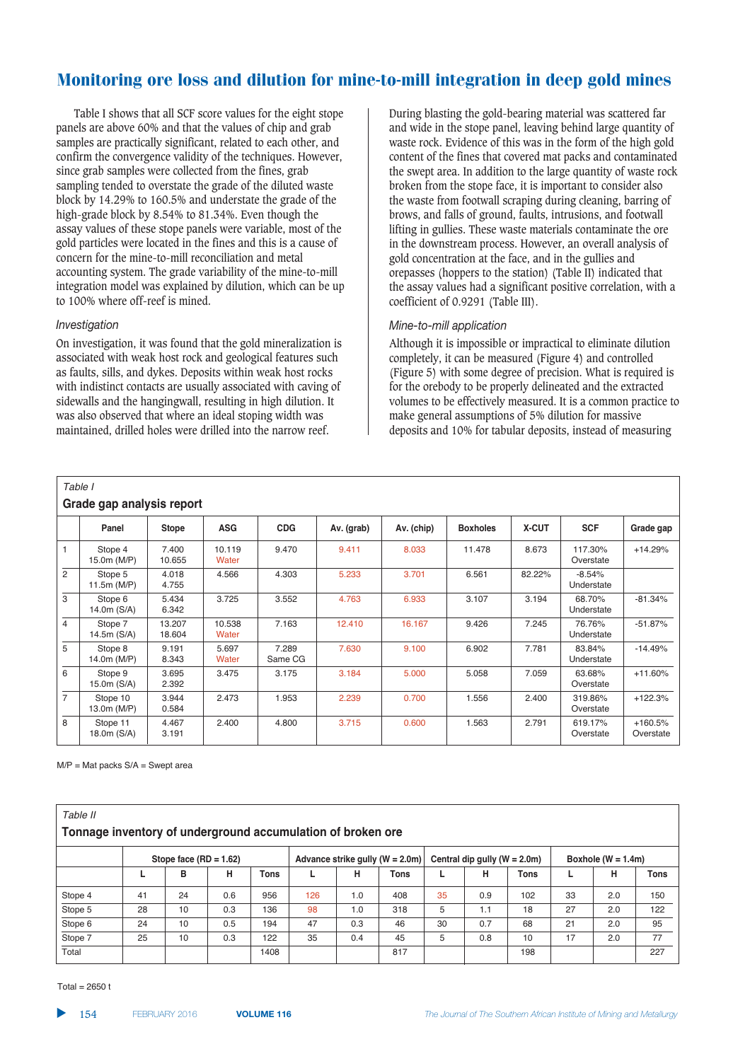Table I shows that all SCF score values for the eight stope panels are above 60% and that the values of chip and grab samples are practically significant, related to each other, and confirm the convergence validity of the techniques. However, since grab samples were collected from the fines, grab sampling tended to overstate the grade of the diluted waste block by 14.29% to 160.5% and understate the grade of the high-grade block by 8.54% to 81.34%. Even though the assay values of these stope panels were variable, most of the gold particles were located in the fines and this is a cause of concern for the mine-to-mill reconciliation and metal accounting system. The grade variability of the mine-to-mill integration model was explained by dilution, which can be up to 100% where off-reef is mined.

# *Investigation*

On investigation, it was found that the gold mineralization is associated with weak host rock and geological features such as faults, sills, and dykes. Deposits within weak host rocks with indistinct contacts are usually associated with caving of sidewalls and the hangingwall, resulting in high dilution. It was also observed that where an ideal stoping width was maintained, drilled holes were drilled into the narrow reef.

During blasting the gold-bearing material was scattered far and wide in the stope panel, leaving behind large quantity of waste rock. Evidence of this was in the form of the high gold content of the fines that covered mat packs and contaminated the swept area. In addition to the large quantity of waste rock broken from the stope face, it is important to consider also the waste from footwall scraping during cleaning, barring of brows, and falls of ground, faults, intrusions, and footwall lifting in gullies. These waste materials contaminate the ore in the downstream process. However, an overall analysis of gold concentration at the face, and in the gullies and orepasses (hoppers to the station) (Table II) indicated that the assay values had a significant positive correlation, with a coefficient of 0.9291 (Table III).

# *Mine-to-mill application*

Although it is impossible or impractical to eliminate dilution completely, it can be measured (Figure 4) and controlled (Figure 5) with some degree of precision. What is required is for the orebody to be properly delineated and the extracted volumes to be effectively measured. It is a common practice to make general assumptions of 5% dilution for massive deposits and 10% for tabular deposits, instead of measuring

|                | Table I                   |                  |                 |                  |            |            |                 |        |                        |                      |
|----------------|---------------------------|------------------|-----------------|------------------|------------|------------|-----------------|--------|------------------------|----------------------|
|                | Grade gap analysis report |                  |                 |                  |            |            |                 |        |                        |                      |
|                | Panel                     | Stope            | <b>ASG</b>      | <b>CDG</b>       | Av. (grab) | Av. (chip) | <b>Boxholes</b> | X-CUT  | <b>SCF</b>             | Grade gap            |
| $\mathbf{1}$   | Stope 4<br>15.0m (M/P)    | 7.400<br>10.655  | 10.119<br>Water | 9.470            | 9.411      | 8.033      | 11.478          | 8.673  | 117.30%<br>Overstate   | +14.29%              |
| 2              | Stope 5<br>11.5m (M/P)    | 4.018<br>4.755   | 4.566           | 4.303            | 5.233      | 3.701      | 6.561           | 82.22% | $-8.54%$<br>Understate |                      |
| 3              | Stope 6<br>14.0m (S/A)    | 5.434<br>6.342   | 3.725           | 3.552            | 4.763      | 6.933      | 3.107           | 3.194  | 68.70%<br>Understate   | $-81.34%$            |
| $\overline{4}$ | Stope 7<br>14.5m (S/A)    | 13.207<br>18.604 | 10.538<br>Water | 7.163            | 12.410     | 16.167     | 9.426           | 7.245  | 76.76%<br>Understate   | $-51.87%$            |
| 5              | Stope 8<br>14.0m (M/P)    | 9.191<br>8.343   | 5.697<br>Water  | 7.289<br>Same CG | 7.630      | 9.100      | 6.902           | 7.781  | 83.84%<br>Understate   | $-14.49%$            |
| 6              | Stope 9<br>15.0m (S/A)    | 3.695<br>2.392   | 3.475           | 3.175            | 3.184      | 5.000      | 5.058           | 7.059  | 63.68%<br>Overstate    | $+11.60%$            |
| $\overline{7}$ | Stope 10<br>13.0m (M/P)   | 3.944<br>0.584   | 2.473           | 1.953            | 2.239      | 0.700      | 1.556           | 2.400  | 319.86%<br>Overstate   | +122.3%              |
| 8              | Stope 11<br>18.0m (S/A)   | 4.467<br>3.191   | 2.400           | 4.800            | 3.715      | 0.600      | 1.563           | 2.791  | 619.17%<br>Overstate   | +160.5%<br>Overstate |

 $M/P = Mat$  packs  $S/A = S$ wept area

| Table II<br>Tonnage inventory of underground accumulation of broken ore |                          |    |     |                                    |     |     |                                |    |     |                        |    |     |             |
|-------------------------------------------------------------------------|--------------------------|----|-----|------------------------------------|-----|-----|--------------------------------|----|-----|------------------------|----|-----|-------------|
|                                                                         | Stope face $(RD = 1.62)$ |    |     | Advance strike gully (W = $2.0m$ ) |     |     | Central dip gully $(W = 2.0m)$ |    |     | Boxhole ( $W = 1.4$ m) |    |     |             |
|                                                                         | ┗                        | в  | н   | <b>Tons</b>                        |     | н   | <b>Tons</b>                    |    | н   | Tons                   |    | н   | <b>Tons</b> |
| Stope 4                                                                 | 41                       | 24 | 0.6 | 956                                | 126 | 1.0 | 408                            | 35 | 0.9 | 102                    | 33 | 2.0 | 150         |
| Stope 5                                                                 | 28                       | 10 | 0.3 | 136                                | 98  | 1.0 | 318                            | 5  | 1.1 | 18                     | 27 | 2.0 | 122         |
| Stope 6                                                                 | 24                       | 10 | 0.5 | 194                                | 47  | 0.3 | 46                             | 30 | 0.7 | 68                     | 21 | 2.0 | 95          |
| Stope 7                                                                 | 25                       | 10 | 0.3 | 122                                | 35  | 0.4 | 45                             | 5  | 0.8 | 10                     | 17 | 2.0 | 77          |
| Total                                                                   |                          |    |     | 1408                               |     |     | 817                            |    |     | 198                    |    |     | 227         |

Total =  $2650$  t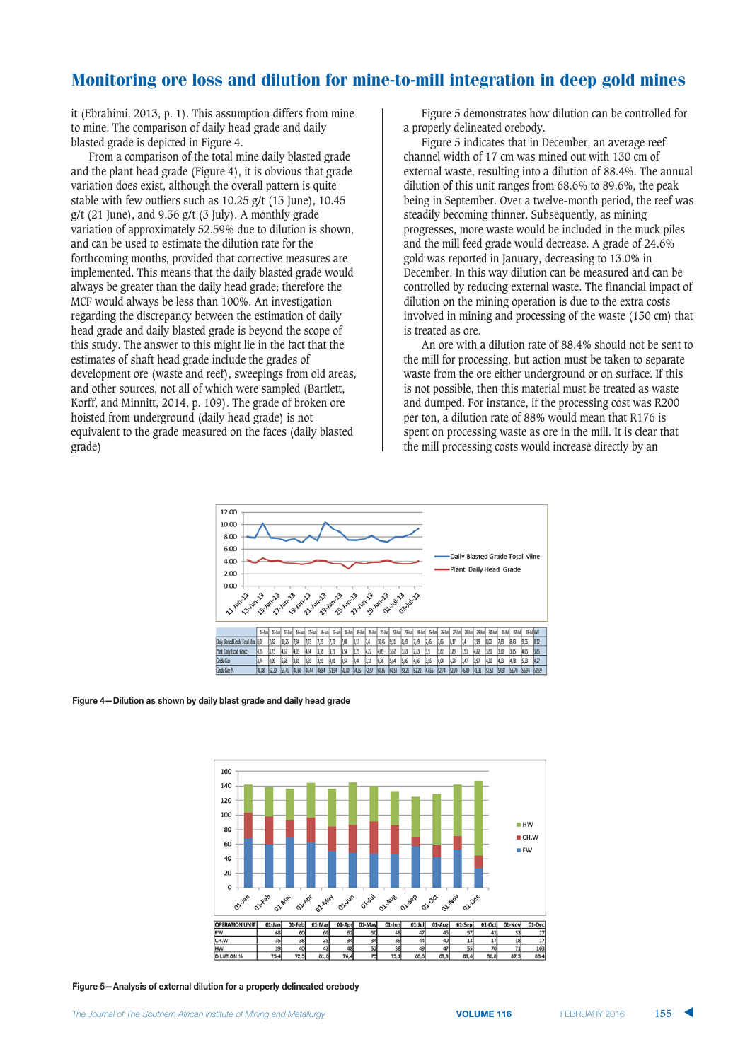it (Ebrahimi, 2013, p. 1). This assumption differs from mine to mine. The comparison of daily head grade and daily blasted grade is depicted in Figure 4.

From a comparison of the total mine daily blasted grade and the plant head grade (Figure 4), it is obvious that grade variation does exist, although the overall pattern is quite stable with few outliers such as 10.25 g/t (13 June), 10.45 g/t (21 June), and  $9.36$  g/t (3 July). A monthly grade variation of approximately 52.59% due to dilution is shown, and can be used to estimate the dilution rate for the forthcoming months, provided that corrective measures are implemented. This means that the daily blasted grade would always be greater than the daily head grade; therefore the MCF would always be less than 100%. An investigation regarding the discrepancy between the estimation of daily head grade and daily blasted grade is beyond the scope of this study. The answer to this might lie in the fact that the estimates of shaft head grade include the grades of development ore (waste and reef), sweepings from old areas, and other sources, not all of which were sampled (Bartlett, Korff, and Minnitt, 2014, p. 109). The grade of broken ore hoisted from underground (daily head grade) is not equivalent to the grade measured on the faces (daily blasted grade)

Figure 5 demonstrates how dilution can be controlled for a properly delineated orebody.

Figure 5 indicates that in December, an average reef channel width of 17 cm was mined out with 130 cm of external waste, resulting into a dilution of 88.4%. The annual dilution of this unit ranges from 68.6% to 89.6%, the peak being in September. Over a twelve-month period, the reef was steadily becoming thinner. Subsequently, as mining progresses, more waste would be included in the muck piles and the mill feed grade would decrease. A grade of 24.6% gold was reported in January, decreasing to 13.0% in December. In this way dilution can be measured and can be controlled by reducing external waste. The financial impact of dilution on the mining operation is due to the extra costs involved in mining and processing of the waste (130 cm) that is treated as ore.

An ore with a dilution rate of 88.4% should not be sent to the mill for processing, but action must be taken to separate waste from the ore either underground or on surface. If this is not possible, then this material must be treated as waste and dumped. For instance, if the processing cost was R200 per ton, a dilution rate of 88% would mean that R176 is spent on processing waste as ore in the mill. It is clear that the mill processing costs would increase directly by an



Figure 4-Dilution as shown by daily blast grade and daily head grade



Figure 5-Analysis of external dilution for a properly delineated orebody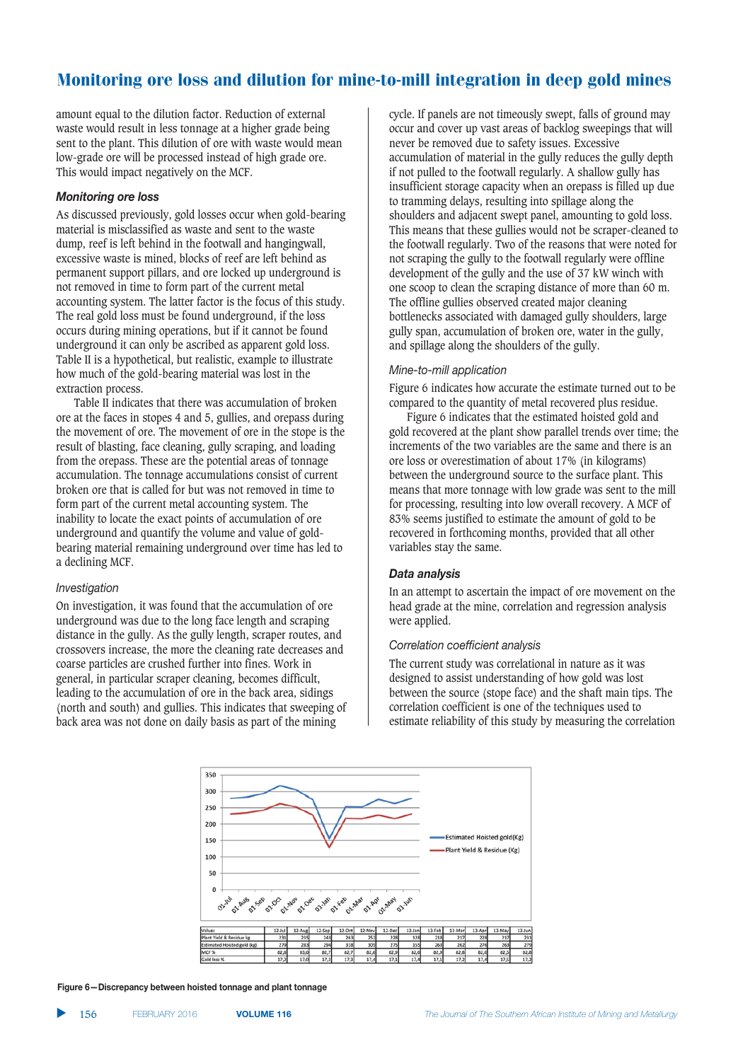amount equal to the dilution factor. Reduction of external waste would result in less tonnage at a higher grade being sent to the plant. This dilution of ore with waste would mean low-grade ore will be processed instead of high grade ore. This would impact negatively on the MCF.

# **Monitoring ore loss**

As discussed previously, gold losses occur when gold-bearing material is misclassified as waste and sent to the waste dump, reef is left behind in the footwall and hangingwall, excessive waste is mined, blocks of reef are left behind as permanent support pillars, and ore locked up underground is not removed in time to form part of the current metal accounting system. The latter factor is the focus of this study. The real gold loss must be found underground, if the loss occurs during mining operations, but if it cannot be found underground it can only be ascribed as apparent gold loss. Table II is a hypothetical, but realistic, example to illustrate how much of the gold-bearing material was lost in the extraction process.

Table II indicates that there was accumulation of broken ore at the faces in stopes 4 and 5, gullies, and orepass during the movement of ore. The movement of ore in the stope is the result of blasting, face cleaning, gully scraping, and loading from the orepass. These are the potential areas of tonnage accumulation. The tonnage accumulations consist of current broken ore that is called for but was not removed in time to form part of the current metal accounting system. The inability to locate the exact points of accumulation of ore underground and quantify the volume and value of goldbearing material remaining underground over time has led to a declining MCF.

#### *Investigation*

On investigation, it was found that the accumulation of ore underground was due to the long face length and scraping distance in the gully. As the gully length, scraper routes, and crossovers increase, the more the cleaning rate decreases and coarse particles are crushed further into fines. Work in general, in particular scraper cleaning, becomes difficult, leading to the accumulation of ore in the back area, sidings (north and south) and gullies. This indicates that sweeping of back area was not done on daily basis as part of the mining

cycle. If panels are not timeously swept, falls of ground may occur and cover up vast areas of backlog sweepings that will never be removed due to safety issues. Excessive accumulation of material in the gully reduces the gully depth if not pulled to the footwall regularly. A shallow gully has insufficient storage capacity when an orepass is filled up due to tramming delays, resulting into spillage along the shoulders and adjacent swept panel, amounting to gold loss. This means that these gullies would not be scraper-cleaned to the footwall regularly. Two of the reasons that were noted for not scraping the gully to the footwall regularly were offline development of the gully and the use of 37 kW winch with one scoop to clean the scraping distance of more than 60 m. The offline gullies observed created major cleaning bottlenecks associated with damaged gully shoulders, large gully span, accumulation of broken ore, water in the gully, and spillage along the shoulders of the gully.

# *Mine-to-mill application*

Figure 6 indicates how accurate the estimate turned out to be compared to the quantity of metal recovered plus residue.

Figure 6 indicates that the estimated hoisted gold and gold recovered at the plant show parallel trends over time; the increments of the two variables are the same and there is an ore loss or overestimation of about 17% (in kilograms) between the underground source to the surface plant. This means that more tonnage with low grade was sent to the mill for processing, resulting into low overall recovery. A MCF of 83% seems justified to estimate the amount of gold to be recovered in forthcoming months, provided that all other variables stay the same.

# Data analysis

In an attempt to ascertain the impact of ore movement on the head grade at the mine, correlation and regression analysis were applied.

### Correlation coefficient analysis

The current study was correlational in nature as it was designed to assist understanding of how gold was lost between the source (stope face) and the shaft main tips. The correlation coefficient is one of the techniques used to estimate reliability of this study by measuring the correlation



**12***h***<sub>2</sub> <b>c7***Pigure* **6–Discrepancy between hoisted tonnage and plant tonnage**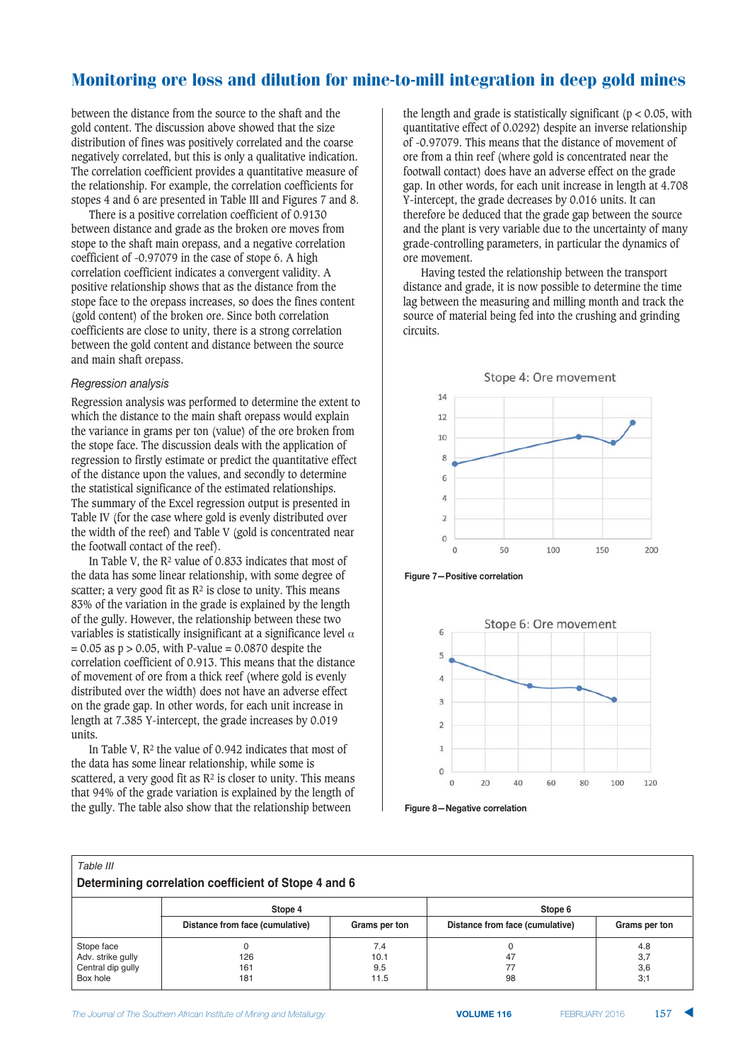between the distance from the source to the shaft and the gold content. The discussion above showed that the size distribution of fines was positively correlated and the coarse negatively correlated, but this is only a qualitative indication. The correlation coefficient provides a quantitative measure of the relationship. For example, the correlation coefficients for stopes 4 and 6 are presented in Table III and Figures 7 and 8.

There is a positive correlation coefficient of 0.9130 between distance and grade as the broken ore moves from stope to the shaft main orepass, and a negative correlation coefficient of -0.97079 in the case of stope 6. A high correlation coefficient indicates a convergent validity. A positive relationship shows that as the distance from the stope face to the orepass increases, so does the fines content (gold content) of the broken ore. Since both correlation coefficients are close to unity, there is a strong correlation between the gold content and distance between the source and main shaft orepass.

### **Regression** analysis

Regression analysis was performed to determine the extent to which the distance to the main shaft orepass would explain the variance in grams per ton (value) of the ore broken from the stope face. The discussion deals with the application of regression to firstly estimate or predict the quantitative effect of the distance upon the values, and secondly to determine the statistical significance of the estimated relationships. The summary of the Excel regression output is presented in Table IV (for the case where gold is evenly distributed over the width of the reef) and Table V (gold is concentrated near the footwall contact of the reef).

In Table V, the  $R^2$  value of 0.833 indicates that most of the data has some linear relationship, with some degree of scatter; a very good fit as  $\mathbb{R}^2$  is close to unity. This means 83% of the variation in the grade is explained by the length of the gully. However, the relationship between these two variables is statistically insignificant at a significance level  $\alpha$  $= 0.05$  as  $p > 0.05$ , with P-value  $= 0.0870$  despite the correlation coefficient of 0.913. This means that the distance of movement of ore from a thick reef (where gold is evenly distributed over the width) does not have an adverse effect on the grade gap. In other words, for each unit increase in length at 7.385 Y-intercept, the grade increases by 0.019 units.

In Table V,  $R<sup>2</sup>$  the value of 0.942 indicates that most of the data has some linear relationship, while some is scattered, a very good fit as  $R^2$  is closer to unity. This means that 94% of the grade variation is explained by the length of the gully. The table also show that the relationship between

the length and grade is statistically significant ( $p < 0.05$ , with quantitative effect of 0.0292) despite an inverse relationship of -0.97079. This means that the distance of movement of ore from a thin reef (where gold is concentrated near the footwall contact) does have an adverse effect on the grade gap. In other words, for each unit increase in length at 4.708 Y-intercept, the grade decreases by 0.016 units. It can therefore be deduced that the grade gap between the source and the plant is very variable due to the uncertainty of many grade-controlling parameters, in particular the dynamics of ore movement.

Having tested the relationship between the transport distance and grade, it is now possible to determine the time lag between the measuring and milling month and track the source of material being fed into the crushing and grinding circuits.











| Table III<br>Determining correlation coefficient of Stope 4 and 6 |               |                                 |                  |  |  |  |  |  |  |  |  |
|-------------------------------------------------------------------|---------------|---------------------------------|------------------|--|--|--|--|--|--|--|--|
| Stope 4                                                           |               | Stope 6                         |                  |  |  |  |  |  |  |  |  |
| Distance from face (cumulative)                                   | Grams per ton | Distance from face (cumulative) | Grams per ton    |  |  |  |  |  |  |  |  |
|                                                                   | 7.4           |                                 | 4.8<br>3,7       |  |  |  |  |  |  |  |  |
| 161                                                               | 9.5           |                                 | 3,6<br>3:1       |  |  |  |  |  |  |  |  |
|                                                                   | 126<br>181    | 10.1                            | 47<br>98<br>11.5 |  |  |  |  |  |  |  |  |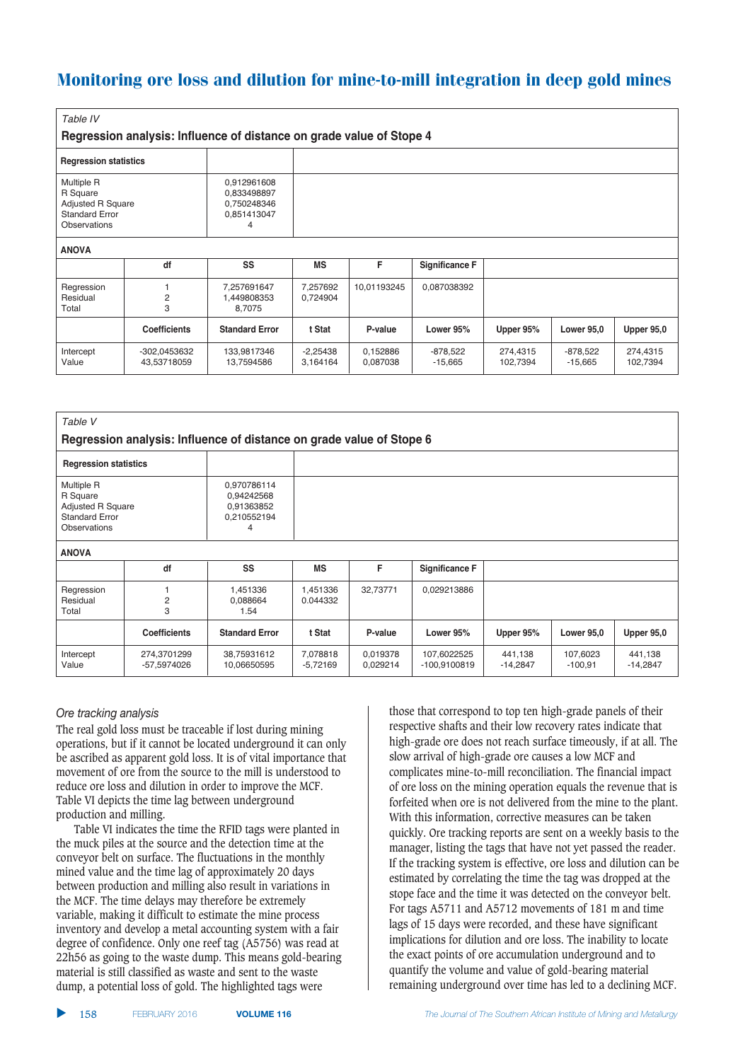| Table IV                                                                             |                             |                                                                      |                        |                      |                         |                      |                         |                      |
|--------------------------------------------------------------------------------------|-----------------------------|----------------------------------------------------------------------|------------------------|----------------------|-------------------------|----------------------|-------------------------|----------------------|
|                                                                                      |                             | Regression analysis: Influence of distance on grade value of Stope 4 |                        |                      |                         |                      |                         |                      |
| <b>Regression statistics</b>                                                         |                             |                                                                      |                        |                      |                         |                      |                         |                      |
| Multiple R<br>R Square<br>Adjusted R Square<br><b>Standard Error</b><br>Observations |                             | 0,912961608<br>0,833498897<br>0,750248346<br>0,851413047<br>4        |                        |                      |                         |                      |                         |                      |
| <b>ANOVA</b>                                                                         |                             |                                                                      |                        |                      |                         |                      |                         |                      |
|                                                                                      | df                          | SS                                                                   | <b>MS</b>              | F                    | <b>Significance F</b>   |                      |                         |                      |
| Regression<br>Residual<br>Total                                                      | 2<br>3                      | 7,257691647<br>1,449808353<br>8,7075                                 | 7,257692<br>0,724904   | 10,01193245          | 0,087038392             |                      |                         |                      |
|                                                                                      | <b>Coefficients</b>         | <b>Standard Error</b>                                                | t Stat                 | P-value              | Lower 95%               | Upper 95%            | <b>Lower 95,0</b>       | Upper 95,0           |
| Intercept<br>Value                                                                   | -302,0453632<br>43,53718059 | 133,9817346<br>13,7594586                                            | $-2,25438$<br>3,164164 | 0,152886<br>0,087038 | $-878,522$<br>$-15,665$ | 274,4315<br>102,7394 | $-878,522$<br>$-15,665$ | 274,4315<br>102,7394 |

| Table V<br>Regression analysis: Influence of distance on grade value of Stope 6             |                            |                                                             |                        |                      |                             |                       |                       |                       |  |  |  |  |
|---------------------------------------------------------------------------------------------|----------------------------|-------------------------------------------------------------|------------------------|----------------------|-----------------------------|-----------------------|-----------------------|-----------------------|--|--|--|--|
| <b>Regression statistics</b>                                                                |                            |                                                             |                        |                      |                             |                       |                       |                       |  |  |  |  |
| Multiple R<br>R Square<br>Adjusted R Square<br><b>Standard Error</b><br><b>Observations</b> |                            | 0,970786114<br>0,94242568<br>0,91363852<br>0,210552194<br>4 |                        |                      |                             |                       |                       |                       |  |  |  |  |
| <b>ANOVA</b>                                                                                |                            |                                                             |                        |                      |                             |                       |                       |                       |  |  |  |  |
|                                                                                             | df                         | SS                                                          | <b>MS</b>              | F.                   | <b>Significance F</b>       |                       |                       |                       |  |  |  |  |
| Regression<br>Residual<br>Total                                                             | 1<br>2<br>3                | 1,451336<br>0,088664<br>1.54                                | 1,451336<br>0.044332   | 32,73771             | 0,029213886                 |                       |                       |                       |  |  |  |  |
|                                                                                             | <b>Coefficients</b>        | <b>Standard Error</b>                                       | t Stat                 | P-value              | Lower 95%                   | Upper 95%             | <b>Lower 95.0</b>     | Upper 95,0            |  |  |  |  |
| Intercept<br>Value                                                                          | 274,3701299<br>-57,5974026 | 38,75931612<br>10,06650595                                  | 7,078818<br>$-5,72169$ | 0,019378<br>0,029214 | 107,6022525<br>-100,9100819 | 441,138<br>$-14,2847$ | 107,6023<br>$-100,91$ | 441,138<br>$-14,2847$ |  |  |  |  |

# Ore tracking analysis

The real gold loss must be traceable if lost during mining operations, but if it cannot be located underground it can only be ascribed as apparent gold loss. It is of vital importance that movement of ore from the source to the mill is understood to reduce ore loss and dilution in order to improve the MCF. Table VI depicts the time lag between underground production and milling.

Table VI indicates the time the RFID tags were planted in the muck piles at the source and the detection time at the conveyor belt on surface. The fluctuations in the monthly mined value and the time lag of approximately 20 days between production and milling also result in variations in the MCF. The time delays may therefore be extremely variable, making it difficult to estimate the mine process inventory and develop a metal accounting system with a fair degree of confidence. Only one reef tag (A5756) was read at 22h56 as going to the waste dump. This means gold-bearing material is still classified as waste and sent to the waste dump, a potential loss of gold. The highlighted tags were

those that correspond to top ten high-grade panels of their respective shafts and their low recovery rates indicate that high-grade ore does not reach surface timeously, if at all. The slow arrival of high-grade ore causes a low MCF and complicates mine-to-mill reconciliation. The financial impact of ore loss on the mining operation equals the revenue that is forfeited when ore is not delivered from the mine to the plant. With this information, corrective measures can be taken quickly. Ore tracking reports are sent on a weekly basis to the manager, listing the tags that have not yet passed the reader. If the tracking system is effective, ore loss and dilution can be estimated by correlating the time the tag was dropped at the stope face and the time it was detected on the conveyor belt. For tags A5711 and A5712 movements of 181 m and time lags of 15 days were recorded, and these have significant implications for dilution and ore loss. The inability to locate the exact points of ore accumulation underground and to quantify the volume and value of gold-bearing material remaining underground over time has led to a declining MCF.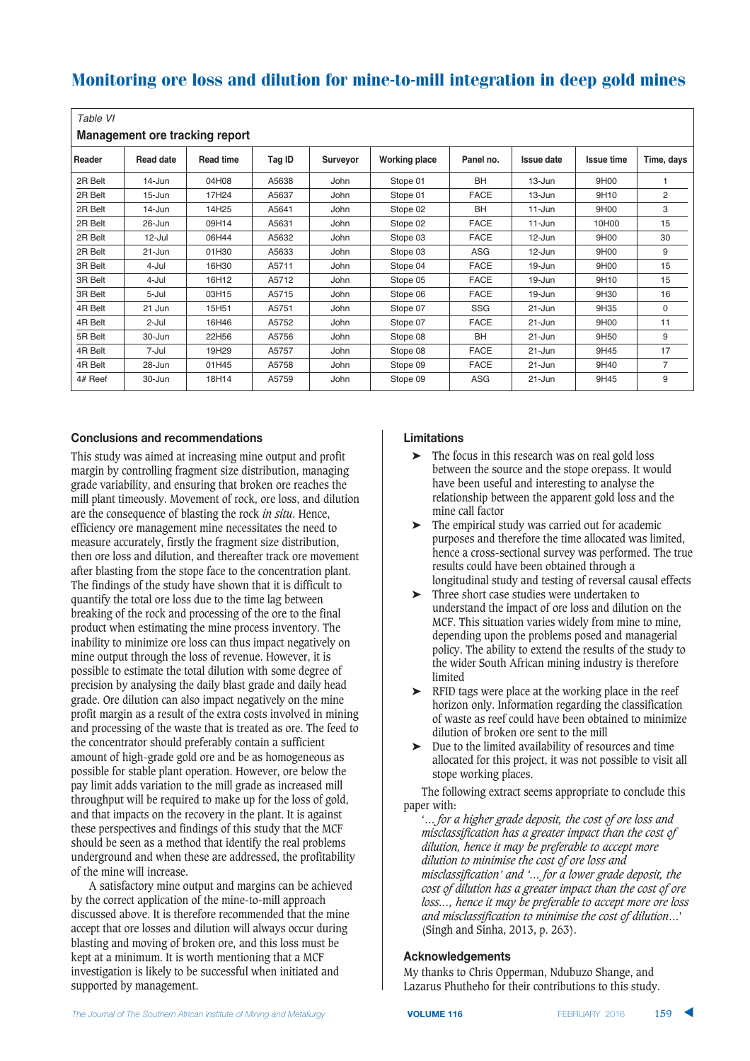| Table VI                       |                  |                  |        |          |                      |             |                   |                   |            |  |  |  |
|--------------------------------|------------------|------------------|--------|----------|----------------------|-------------|-------------------|-------------------|------------|--|--|--|
| Management ore tracking report |                  |                  |        |          |                      |             |                   |                   |            |  |  |  |
| Reader                         | <b>Read date</b> | <b>Read time</b> | Tag ID | Surveyor | <b>Working place</b> | Panel no.   | <b>Issue date</b> | <b>Issue time</b> | Time, days |  |  |  |
| 2R Belt                        | 14-Jun           | 04H08            | A5638  | John     | Stope 01             | <b>BH</b>   | 13-Jun            | 9H00              | 1          |  |  |  |
| 2R Belt                        | $15 - Jun$       | 17H24            | A5637  | John     | Stope 01             | <b>FACE</b> | 13-Jun            | 9H <sub>10</sub>  | 2          |  |  |  |
| 2R Belt                        | $14$ -Jun        | 14H25            | A5641  | John     | Stope 02             | <b>BH</b>   | $11 - Jun$        | 9H00              | 3          |  |  |  |
| 2R Belt                        | 26-Jun           | 09H14            | A5631  | John     | Stope 02             | <b>FACE</b> | $11$ -Jun         | 10H00             | 15         |  |  |  |
| 2R Belt                        | 12-Jul           | 06H44            | A5632  | John     | Stope 03             | <b>FACE</b> | 12-Jun            | 9H00              | 30         |  |  |  |
| 2R Belt                        | 21-Jun           | 01H30            | A5633  | John     | Stope 03             | ASG         | 12-Jun            | 9H00              | 9          |  |  |  |
| 3R Belt                        | 4-Jul            | 16H30            | A5711  | John     | Stope 04             | <b>FACE</b> | 19-Jun            | 9H00              | 15         |  |  |  |
| 3R Belt                        | 4-Jul            | 16H12            | A5712  | John     | Stope 05             | <b>FACE</b> | 19-Jun            | 9H <sub>10</sub>  | 15         |  |  |  |
| 3R Belt                        | 5-Jul            | 03H15            | A5715  | John     | Stope 06             | <b>FACE</b> | 19-Jun            | 9H30              | 16         |  |  |  |
| 4R Belt                        | 21 Jun           | 15H51            | A5751  | John     | Stope 07             | <b>SSG</b>  | 21-Jun            | 9H35              | 0          |  |  |  |
| 4R Belt                        | 2-Jul            | 16H46            | A5752  | John     | Stope 07             | <b>FACE</b> | 21-Jun            | 9H00              | 11         |  |  |  |
| 5R Belt                        | 30-Jun           | 22H56            | A5756  | John     | Stope 08             | <b>BH</b>   | $21 - Jun$        | 9H50              | 9          |  |  |  |
| 4R Belt                        | 7-Jul            | 19H29            | A5757  | John     | Stope 08             | <b>FACE</b> | $21 - Jun$        | 9H45              | 17         |  |  |  |
| 4R Belt                        | 28-Jun           | 01H45            | A5758  | John     | Stope 09             | <b>FACE</b> | 21-Jun            | 9H40              | 7          |  |  |  |
| 4# Reef                        | 30-Jun           | 18H14            | A5759  | John     | Stope 09             | ASG         | 21-Jun            | 9H45              | 9          |  |  |  |

# $R$  **Conclusions and recommendations**

This study was aimed at increasing mine output and profit margin by controlling fragment size distribution, managing grade variability, and ensuring that broken ore reaches the mill plant timeously. Movement of rock, ore loss, and dilution are the consequence of blasting the rock *in situ*. Hence, efficiency ore management mine necessitates the need to measure accurately, firstly the fragment size distribution, then ore loss and dilution, and thereafter track ore movement after blasting from the stope face to the concentration plant. The findings of the study have shown that it is difficult to quantify the total ore loss due to the time lag between breaking of the rock and processing of the ore to the final product when estimating the mine process inventory. The inability to minimize ore loss can thus impact negatively on mine output through the loss of revenue. However, it is possible to estimate the total dilution with some degree of precision by analysing the daily blast grade and daily head grade. Ore dilution can also impact negatively on the mine profit margin as a result of the extra costs involved in mining and processing of the waste that is treated as ore. The feed to the concentrator should preferably contain a sufficient amount of high-grade gold ore and be as homogeneous as possible for stable plant operation. However, ore below the pay limit adds variation to the mill grade as increased mill throughput will be required to make up for the loss of gold, and that impacts on the recovery in the plant. It is against these perspectives and findings of this study that the MCF should be seen as a method that identify the real problems underground and when these are addressed, the profitability of the mine will increase.

A satisfactory mine output and margins can be achieved by the correct application of the mine-to-mill approach discussed above. It is therefore recommended that the mine accept that ore losses and dilution will always occur during blasting and moving of broken ore, and this loss must be kept at a minimum. It is worth mentioning that a MCF investigation is likely to be successful when initiated and supported by management.

# **Limitations**

- ➤ The focus in this research was on real gold loss between the source and the stope orepass. It would have been useful and interesting to analyse the relationship between the apparent gold loss and the mine call factor
- ➤ The empirical study was carried out for academic purposes and therefore the time allocated was limited, hence a cross-sectional survey was performed. The true results could have been obtained through a longitudinal study and testing of reversal causal effects
- ➤ Three short case studies were undertaken to understand the impact of ore loss and dilution on the MCF. This situation varies widely from mine to mine, depending upon the problems posed and managerial policy. The ability to extend the results of the study to the wider South African mining industry is therefore limited
- ➤ RFID tags were place at the working place in the reef horizon only. Information regarding the classification of waste as reef could have been obtained to minimize dilution of broken ore sent to the mill
- ➤ Due to the limited availability of resources and time allocated for this project, it was not possible to visit all stope working places.

The following extract seems appropriate to conclude this paper with:

'… *for a higher grade deposit, the cost of ore loss and misclassification has a greater impact than the cost of dilution, hence it may be preferable to accept more dilution to minimise the cost of ore loss and misclassification' and '… for a lower grade deposit, the cost of dilution has a greater impact than the cost of ore loss…, hence it may be preferable to accept more ore loss and misclassification to minimise the cost of dilution*…' (Singh and Sinha, 2013, p. 263).

# ${\sf Acknowledgements}$

My thanks to Chris Opperman, Ndubuzo Shange, and Lazarus Phutheho for their contributions to this study.